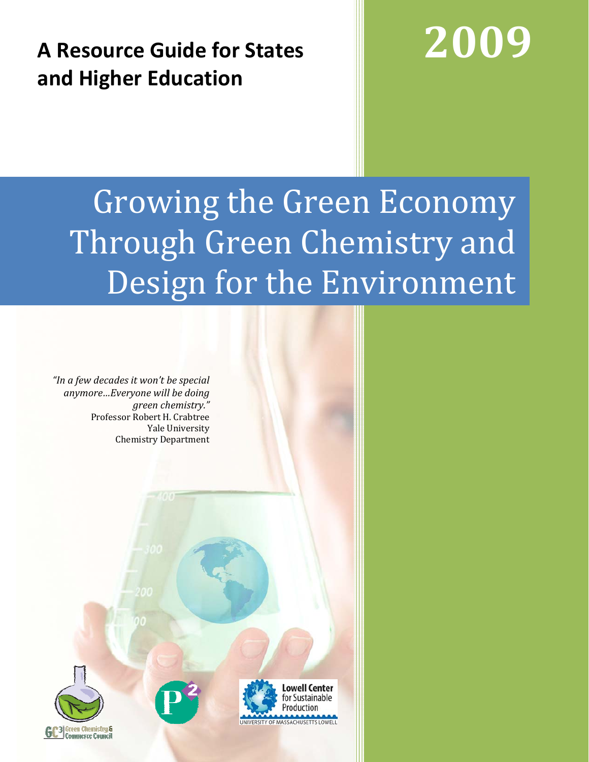## **A Resource Guide for States and Higher Education**

# **2009**

## Growing the Green Economy Through Green Chemistry and Design for the Environment

*"In a few decades it won't be special anymore…Everyone will be doing green chemistry."*  Professor Robert H. Crabtree Yale University Chemistry Department

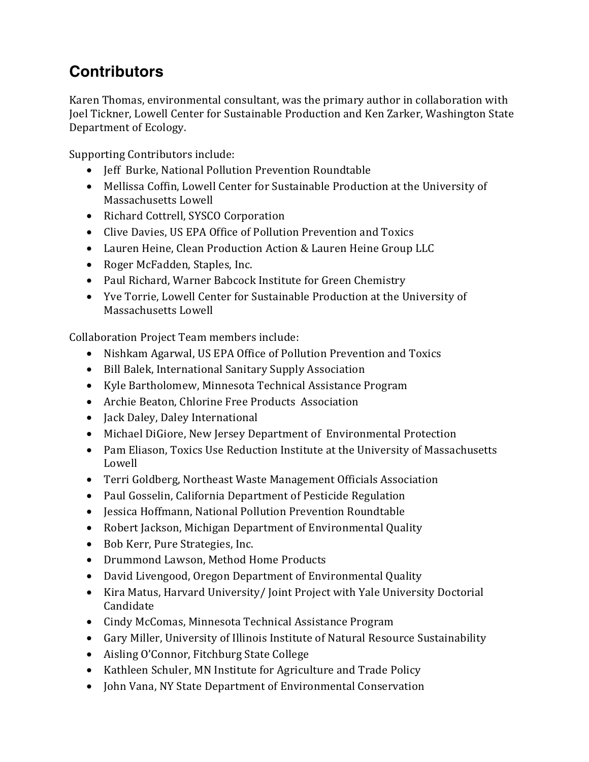## **Contributors**

Karen Thomas, environmental consultant, was the primary author in collaboration with Joel Tickner, Lowell Center for Sustainable Production and Ken Zarker, Washington State Department of Ecology.

Supporting Contributors include:

- Jeff Burke, National Pollution Prevention Roundtable
- Mellissa Coffin, Lowell Center for Sustainable Production at the University of Massachusetts Lowell
- Richard Cottrell, SYSCO Corporation
- Clive Davies, US EPA Office of Pollution Prevention and Toxics
- Lauren Heine, Clean Production Action & Lauren Heine Group LLC
- Roger McFadden, Staples, Inc.
- Paul Richard, Warner Babcock Institute for Green Chemistry
- Yve Torrie, Lowell Center for Sustainable Production at the University of Massachusetts Lowell

Collaboration Project Team members include:

- Nishkam Agarwal, US EPA Office of Pollution Prevention and Toxics
- Bill Balek, International Sanitary Supply Association
- Kyle Bartholomew, Minnesota Technical Assistance Program
- Archie Beaton, Chlorine Free Products Association
- Jack Daley, Daley International
- Michael DiGiore, New Jersey Department of Environmental Protection
- Pam Eliason, Toxics Use Reduction Institute at the University of Massachusetts Lowell
- Terri Goldberg, Northeast Waste Management Officials Association
- Paul Gosselin, California Department of Pesticide Regulation
- Jessica Hoffmann, National Pollution Prevention Roundtable
- Robert Jackson, Michigan Department of Environmental Quality
- Bob Kerr, Pure Strategies, Inc.
- Drummond Lawson, Method Home Products
- David Livengood, Oregon Department of Environmental Quality
- Kira Matus, Harvard University/ Joint Project with Yale University Doctorial Candidate
- Cindy McComas, Minnesota Technical Assistance Program
- Gary Miller, University of Illinois Institute of Natural Resource Sustainability
- Aisling O'Connor, Fitchburg State College
- Kathleen Schuler, MN Institute for Agriculture and Trade Policy
- John Vana, NY State Department of Environmental Conservation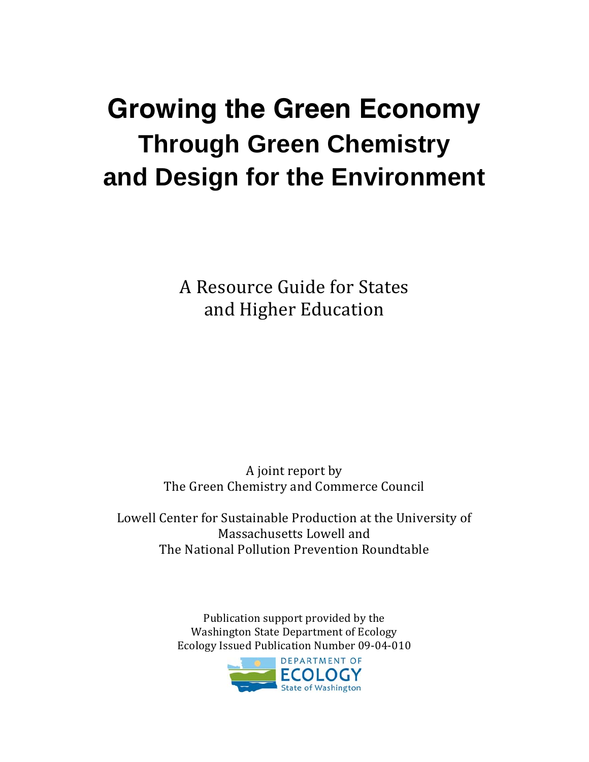## **Growing the Green Economy Through Green Chemistry and Design for the Environment**

A Resource Guide for States and Higher Education

A joint report by The Green Chemistry and Commerce Council

Lowell Center for Sustainable Production at the University of Massachusetts Lowell and The National Pollution Prevention Roundtable

> Publication support provided by the Washington State Department of Ecology Ecology Issued Publication Number 09-04-010

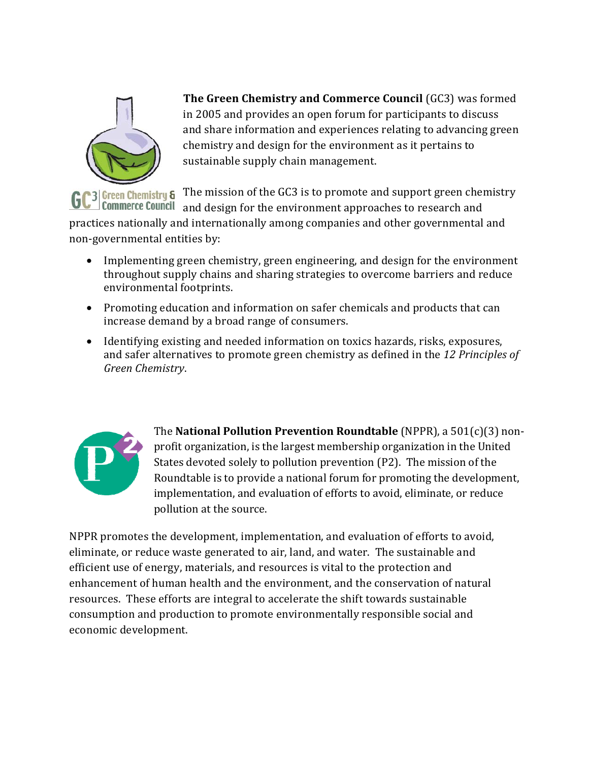

**The Green Chemistry and Commerce Council** (GC3) was formed in 2005 and provides an open forum for participants to discuss and share information and experiences relating to advancing green chemistry and design for the environment as it pertains to sustainable supply chain management.

 $\frac{1}{3}$  Green Chemistry 6 The mission of the GC3 is to promote and support green chemistry **GC**<sup>3</sup> commerce Council and design for the environment approaches to research and

practices nationally and internationally among companies and other governmental and non-governmental entities by:

- Implementing green chemistry, green engineering, and design for the environment throughout supply chains and sharing strategies to overcome barriers and reduce environmental footprints.
- Promoting education and information on safer chemicals and products that can increase demand by a broad range of consumers.
- Identifying existing and needed information on toxics hazards, risks, exposures, and safer alternatives to promote green chemistry as defined in the *12 Principles of Green Chemistry*.



The **National Pollution Prevention Roundtable** (NPPR), a 501(c)(3) nonprofit organization, is the largest membership organization in the United States devoted solely to pollution prevention (P2). The mission of the Roundtable is to provide a national forum for promoting the development, implementation, and evaluation of efforts to avoid, eliminate, or reduce pollution at the source.

NPPR promotes the development, implementation, and evaluation of efforts to avoid, eliminate, or reduce waste generated to air, land, and water. The sustainable and efficient use of energy, materials, and resources is vital to the protection and enhancement of human health and the environment, and the conservation of natural resources. These efforts are integral to accelerate the shift towards sustainable consumption and production to promote environmentally responsible social and economic development.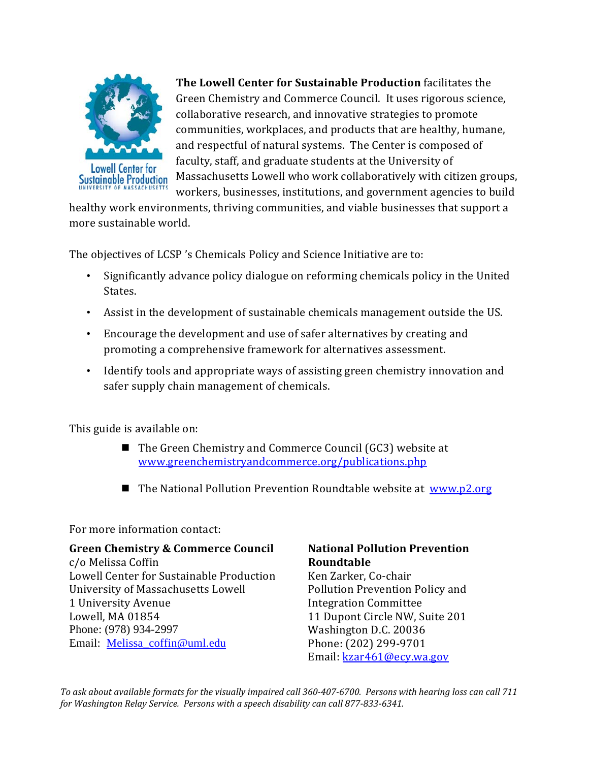

**The Lowell Center for Sustainable Production** facilitates the Green Chemistry and Commerce Council. It uses rigorous science, collaborative research, and innovative strategies to promote communities, workplaces, and products that are healthy, humane, and respectful of natural systems. The Center is composed of faculty, staff, and graduate students at the University of Massachusetts Lowell who work collaboratively with citizen groups, workers, businesses, institutions, and government agencies to build

healthy work environments, thriving communities, and viable businesses that support a more sustainable world.

The objectives of LCSP 's Chemicals Policy and Science Initiative are to:

- Significantly advance policy dialogue on reforming chemicals policy in the United States.
- Assist in the development of sustainable chemicals management outside the US.
- Encourage the development and use of safer alternatives by creating and promoting a comprehensive framework for alternatives assessment.
- Identify tools and appropriate ways of assisting green chemistry innovation and safer supply chain management of chemicals.

This guide is available on:

- The Green Chemistry and Commerce Council (GC3) website at [www.greenchemistryandcommerce.org/publications.php](http://www.greenchemistryandcommerce.org/publications.php)
- The National Pollution Prevention Roundtable website at [www.p2.org](http://www.p2.org)

#### For more information contact:

#### **Green Chemistry & Commerce Council**

c/o Melissa Coffin Lowell Center for Sustainable Production University of Massachusetts Lowell 1 University Avenue Lowell, MA 01854 Phone: (978) 934-2997 Email: [Melissa\\_coffin@uml.edu](mailto:Melissa_coffin@uml.edu)

#### **National Pollution Prevention Roundtable**

Ken Zarker, Co-chair Pollution Prevention Policy and Integration Committee 11 Dupont Circle NW, Suite 201 Washington D.C. 20036 Phone: (202) 299-9701 Email: [kzar461@ecy.wa.gov](mailto:kzar461@ecy.wa.gov)

*To ask about available formats for the visually impaired call 360-407-6700. Persons with hearing loss can call 711 for Washington Relay Service. Persons with a speech disability can call 877-833-6341.*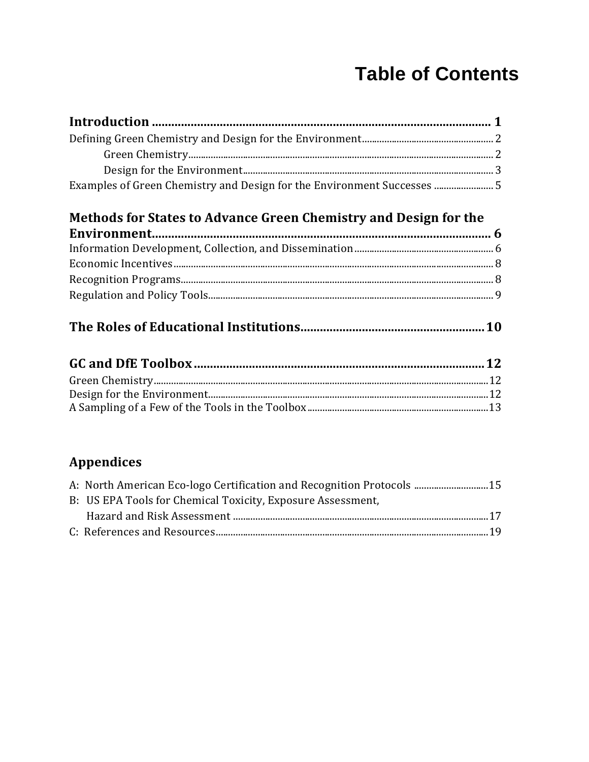## **Table of Contents**

| Examples of Green Chemistry and Design for the Environment Successes  5 |  |
|-------------------------------------------------------------------------|--|

### Methods for States to Advance Green Chemistry and Design for the

#### 

#### **Appendices**

| A: North American Eco-logo Certification and Recognition Protocols 15 |  |
|-----------------------------------------------------------------------|--|
| B: US EPA Tools for Chemical Toxicity, Exposure Assessment,           |  |
|                                                                       |  |
|                                                                       |  |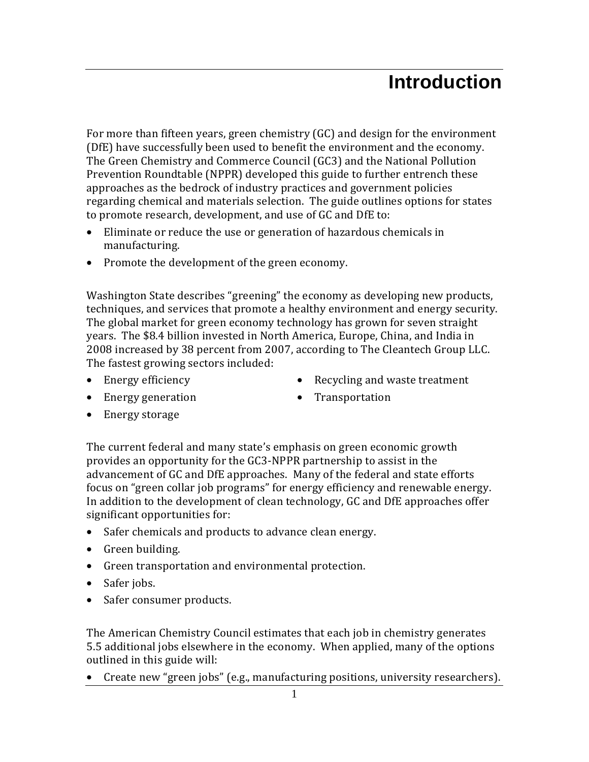## **Introduction**

For more than fifteen years, green chemistry (GC) and design for the environment (DfE) have successfully been used to benefit the environment and the economy. The Green Chemistry and Commerce Council (GC3) and the National Pollution Prevention Roundtable (NPPR) developed this guide to further entrench these approaches as the bedrock of industry practices and government policies regarding chemical and materials selection. The guide outlines options for states to promote research, development, and use of GC and DfE to:

- Eliminate or reduce the use or generation of hazardous chemicals in manufacturing.
- Promote the development of the green economy.

Washington State describes "greening" the economy as developing new products, techniques, and services that promote a healthy environment and energy security. The global market for green economy technology has grown for seven straight years. The \$8.4 billion invested in North America, Europe, China, and India in 2008 increased by 38 percent from 2007, according to The Cleantech Group LLC. The fastest growing sectors included:

• Energy efficiency

• Recycling and waste treatment

• Energy generation

• Transportation

• Energy storage

The current federal and many state's emphasis on green economic growth provides an opportunity for the GC3-NPPR partnership to assist in the advancement of GC and DfE approaches. Many of the federal and state efforts focus on "green collar job programs" for energy efficiency and renewable energy. In addition to the development of clean technology, GC and DfE approaches offer significant opportunities for:

- Safer chemicals and products to advance clean energy.
- Green building.
- Green transportation and environmental protection.
- Safer jobs.
- Safer consumer products.

The American Chemistry Council estimates that each job in chemistry generates 5.5 additional jobs elsewhere in the economy. When applied, many of the options outlined in this guide will:

• Create new "green jobs" (e.g., manufacturing positions, university researchers).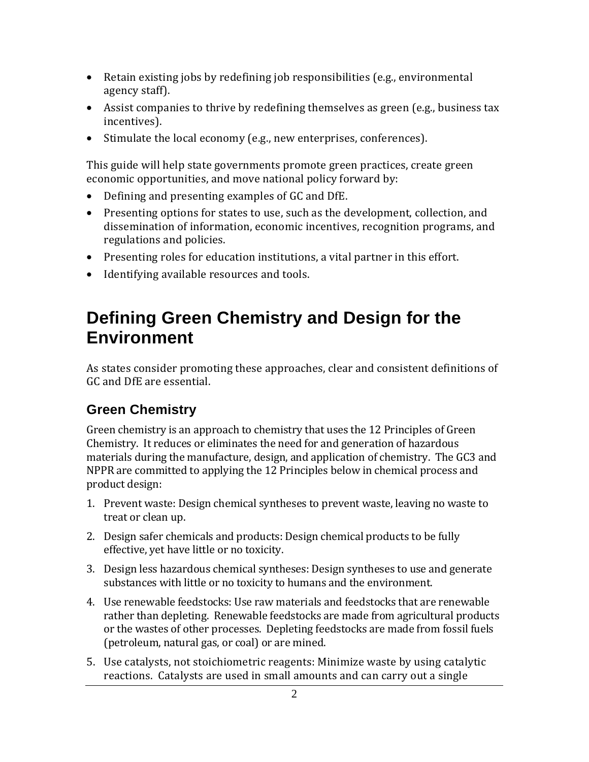- Retain existing jobs by redefining job responsibilities (e.g., environmental agency staff).
- Assist companies to thrive by redefining themselves as green (e.g., business tax incentives).
- Stimulate the local economy (e.g., new enterprises, conferences).

This guide will help state governments promote green practices, create green economic opportunities, and move national policy forward by:

- Defining and presenting examples of GC and DfE.
- Presenting options for states to use, such as the development, collection, and dissemination of information, economic incentives, recognition programs, and regulations and policies.
- Presenting roles for education institutions, a vital partner in this effort.
- Identifying available resources and tools.

## **Defining Green Chemistry and Design for the Environment**

As states consider promoting these approaches, clear and consistent definitions of GC and DfE are essential.

#### **Green Chemistry**

Green chemistry is an approach to chemistry that uses the 12 Principles of Green Chemistry. It reduces or eliminates the need for and generation of hazardous materials during the manufacture, design, and application of chemistry. The GC3 and NPPR are committed to applying the 12 Principles below in chemical process and product design:

- 1. Prevent waste: Design chemical syntheses to prevent waste, leaving no waste to treat or clean up.
- 2. Design safer chemicals and products: Design chemical products to be fully effective, yet have little or no toxicity.
- 3. Design less hazardous chemical syntheses: Design syntheses to use and generate substances with little or no toxicity to humans and the environment.
- 4. Use renewable feedstocks: Use raw materials and feedstocks that are renewable rather than depleting. Renewable feedstocks are made from agricultural products or the wastes of other processes. Depleting feedstocks are made from fossil fuels (petroleum, natural gas, or coal) or are mined.
- 5. Use catalysts, not stoichiometric reagents: Minimize waste by using catalytic reactions. Catalysts are used in small amounts and can carry out a single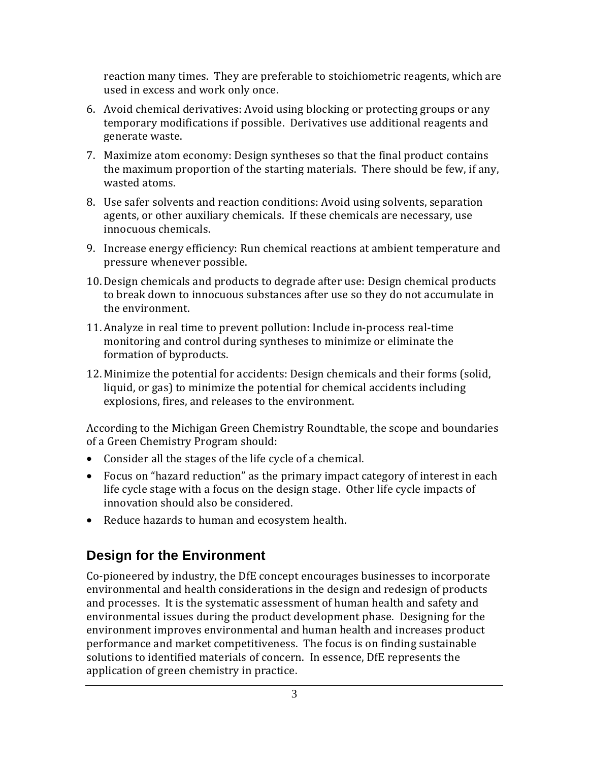reaction many times. They are preferable to stoichiometric reagents, which are used in excess and work only once.

- 6. Avoid chemical derivatives: Avoid using blocking or protecting groups or any temporary modifications if possible. Derivatives use additional reagents and generate waste.
- 7. Maximize atom economy: Design syntheses so that the final product contains the maximum proportion of the starting materials. There should be few, if any, wasted atoms.
- 8. Use safer solvents and reaction conditions: Avoid using solvents, separation agents, or other auxiliary chemicals. If these chemicals are necessary, use innocuous chemicals.
- 9. Increase energy efficiency: Run chemical reactions at ambient temperature and pressure whenever possible.
- 10. Design chemicals and products to degrade after use: Design chemical products to break down to innocuous substances after use so they do not accumulate in the environment.
- 11. Analyze in real time to prevent pollution: Include in-process real-time monitoring and control during syntheses to minimize or eliminate the formation of byproducts.
- 12. Minimize the potential for accidents: Design chemicals and their forms (solid, liquid, or gas) to minimize the potential for chemical accidents including explosions, fires, and releases to the environment.

According to the Michigan Green Chemistry Roundtable, the scope and boundaries of a Green Chemistry Program should:

- Consider all the stages of the life cycle of a chemical.
- Focus on "hazard reduction" as the primary impact category of interest in each life cycle stage with a focus on the design stage. Other life cycle impacts of innovation should also be considered.
- Reduce hazards to human and ecosystem health.

### **Design for the Environment**

Co-pioneered by industry, the DfE concept encourages businesses to incorporate environmental and health considerations in the design and redesign of products and processes. It is the systematic assessment of human health and safety and environmental issues during the product development phase. Designing for the environment improves environmental and human health and increases product performance and market competitiveness. The focus is on finding sustainable solutions to identified materials of concern. In essence, DfE represents the application of green chemistry in practice.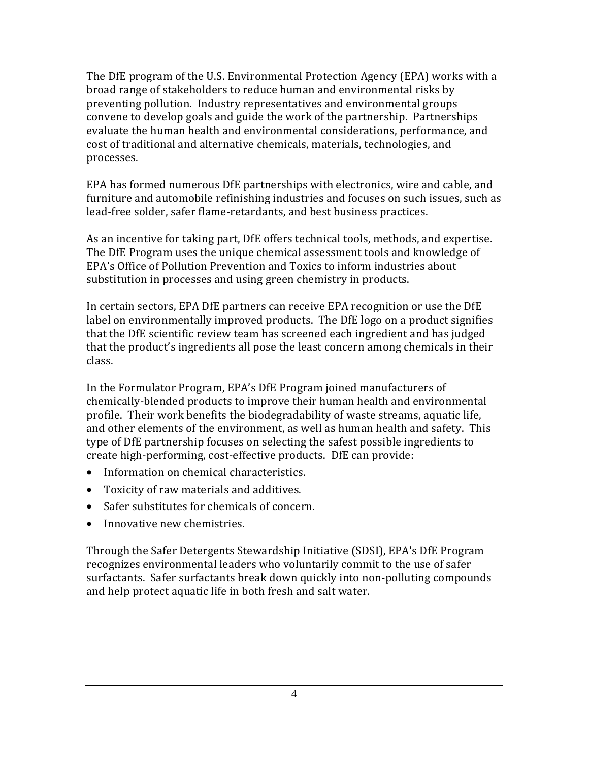The DfE program of the U.S. Environmental Protection Agency (EPA) works with a broad range of stakeholders to reduce human and environmental risks by preventing pollution. Industry representatives and environmental groups convene to develop goals and guide the work of the partnership. Partnerships evaluate the human health and environmental considerations, performance, and cost of traditional and alternative chemicals, materials, technologies, and processes.

EPA has formed numerous DfE partnerships with electronics, wire and cable, and furniture and automobile refinishing industries and focuses on such issues, such as lead-free solder, safer flame-retardants, and best business practices.

As an incentive for taking part, DfE offers technical tools, methods, and expertise. The DfE Program uses the unique chemical assessment tools and knowledge of EPA's Office of Pollution Prevention and Toxics to inform industries about substitution in processes and using green chemistry in products.

In certain sectors, EPA DfE partners can receive EPA recognition or use the DfE label on environmentally improved products. The DfE logo on a product signifies that the DfE scientific review team has screened each ingredient and has judged that the product's ingredients all pose the least concern among chemicals in their class.

In the Formulator Program, EPA's DfE Program joined manufacturers of chemically-blended products to improve their human health and environmental profile. Their work benefits the biodegradability of waste streams, aquatic life, and other elements of the environment, as well as human health and safety. This type of DfE partnership focuses on selecting the safest possible ingredients to create high-performing, cost-effective products. DfE can provide:

- Information on chemical characteristics.
- Toxicity of raw materials and additives.
- Safer substitutes for chemicals of concern.
- Innovative new chemistries.

Through the Safer Detergents Stewardship Initiative (SDSI), EPA's DfE Program recognizes environmental leaders who voluntarily commit to the use of safer surfactants. Safer surfactants break down quickly into non-polluting compounds and help protect aquatic life in both fresh and salt water.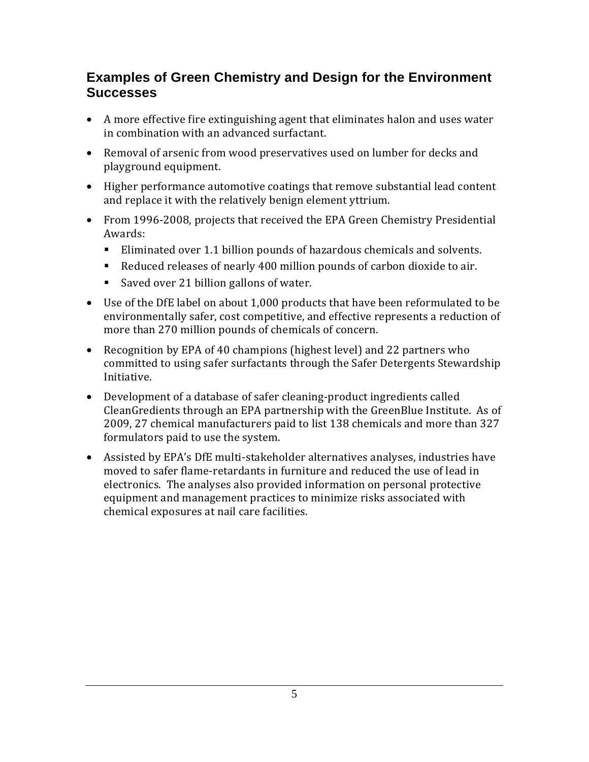#### **Examples of Green Chemistry and Design for the Environment Successes**

- A more effective fire extinguishing agent that eliminates halon and uses water in combination with an advanced surfactant.
- Removal of arsenic from wood preservatives used on lumber for decks and playground equipment.
- Higher performance automotive coatings that remove substantial lead content and replace it with the relatively benign element yttrium.
- From 1996-2008, projects that received the EPA Green Chemistry Presidential Awards:
	- Eliminated over 1.1 billion pounds of hazardous chemicals and solvents.
	- Reduced releases of nearly 400 million pounds of carbon dioxide to air.
	- Saved over 21 billion gallons of water.
- Use of the DfE label on about 1,000 products that have been reformulated to be environmentally safer, cost competitive, and effective represents a reduction of more than 270 million pounds of chemicals of concern.
- Recognition by EPA of 40 champions (highest level) and 22 partners who committed to using safer surfactants through the Safer Detergents Stewardship Initiative.
- Development of a database of safer cleaning-product ingredients called CleanGredients through an EPA partnership with the GreenBlue Institute. As of 2009, 27 chemical manufacturers paid to list 138 chemicals and more than 327 formulators paid to use the system.
- Assisted by EPA's DfE multi-stakeholder alternatives analyses, industries have moved to safer flame-retardants in furniture and reduced the use of lead in electronics. The analyses also provided information on personal protective equipment and management practices to minimize risks associated with chemical exposures at nail care facilities.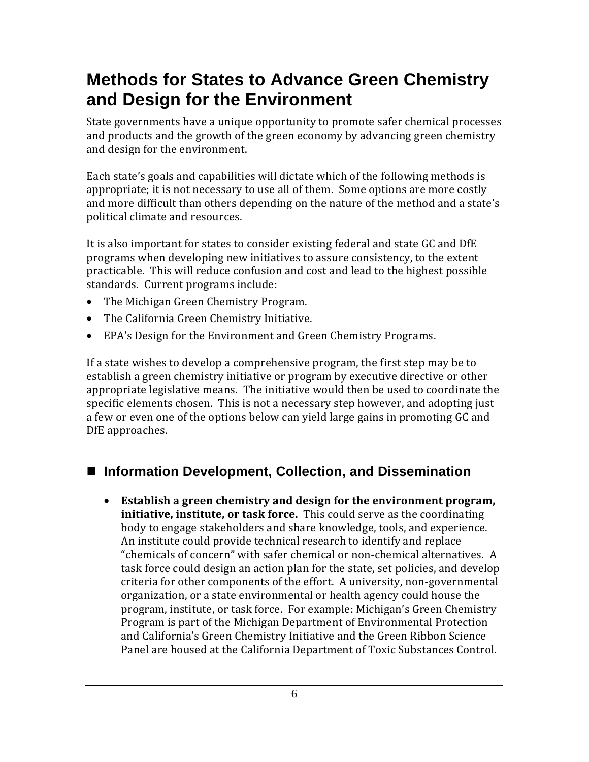## **Methods for States to Advance Green Chemistry and Design for the Environment**

State governments have a unique opportunity to promote safer chemical processes and products and the growth of the green economy by advancing green chemistry and design for the environment.

Each state's goals and capabilities will dictate which of the following methods is appropriate; it is not necessary to use all of them. Some options are more costly and more difficult than others depending on the nature of the method and a state's political climate and resources.

It is also important for states to consider existing federal and state GC and DfE programs when developing new initiatives to assure consistency, to the extent practicable. This will reduce confusion and cost and lead to the highest possible standards. Current programs include:

- The Michigan Green Chemistry Program.
- The California Green Chemistry Initiative.
- EPA's Design for the Environment and Green Chemistry Programs.

If a state wishes to develop a comprehensive program, the first step may be to establish a green chemistry initiative or program by executive directive or other appropriate legislative means. The initiative would then be used to coordinate the specific elements chosen. This is not a necessary step however, and adopting just a few or even one of the options below can yield large gains in promoting GC and DfE approaches.

#### ■ Information Development, Collection, and Dissemination

• **Establish a green chemistry and design for the environment program, initiative, institute, or task force.** This could serve as the coordinating body to engage stakeholders and share knowledge, tools, and experience. An institute could provide technical research to identify and replace "chemicals of concern" with safer chemical or non-chemical alternatives. A task force could design an action plan for the state, set policies, and develop criteria for other components of the effort. A university, non-governmental organization, or a state environmental or health agency could house the program, institute, or task force. For example: Michigan's Green Chemistry Program is part of the Michigan Department of Environmental Protection and California's Green Chemistry Initiative and the Green Ribbon Science Panel are housed at the California Department of Toxic Substances Control.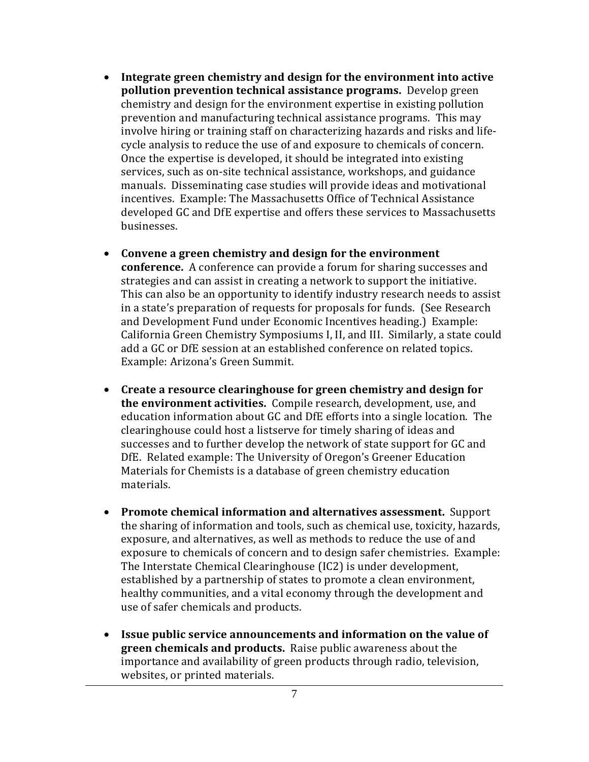- **Integrate green chemistry and design for the environment into active pollution prevention technical assistance programs.** Develop green chemistry and design for the environment expertise in existing pollution prevention and manufacturing technical assistance programs. This may involve hiring or training staff on characterizing hazards and risks and lifecycle analysis to reduce the use of and exposure to chemicals of concern. Once the expertise is developed, it should be integrated into existing services, such as on-site technical assistance, workshops, and guidance manuals. Disseminating case studies will provide ideas and motivational incentives. Example: The Massachusetts Office of Technical Assistance developed GC and DfE expertise and offers these services to Massachusetts businesses.
- **Convene a green chemistry and design for the environment conference.** A conference can provide a forum for sharing successes and strategies and can assist in creating a network to support the initiative. This can also be an opportunity to identify industry research needs to assist in a state's preparation of requests for proposals for funds. (See Research and Development Fund under Economic Incentives heading.) Example: California Green Chemistry Symposiums I, II, and III. Similarly, a state could add a GC or DfE session at an established conference on related topics. Example: Arizona's Green Summit.
- **Create a resource clearinghouse for green chemistry and design for the environment activities.** Compile research, development, use, and education information about GC and DfE efforts into a single location. The clearinghouse could host a listserve for timely sharing of ideas and successes and to further develop the network of state support for GC and DfE. Related example: The University of Oregon's Greener Education Materials for Chemists is a database of green chemistry education materials.
- **Promote chemical information and alternatives assessment.** Support the sharing of information and tools, such as chemical use, toxicity, hazards, exposure, and alternatives, as well as methods to reduce the use of and exposure to chemicals of concern and to design safer chemistries. Example: The Interstate Chemical Clearinghouse (IC2) is under development, established by a partnership of states to promote a clean environment, healthy communities, and a vital economy through the development and use of safer chemicals and products.
- **Issue public service announcements and information on the value of green chemicals and products.** Raise public awareness about the importance and availability of green products through radio, television, websites, or printed materials.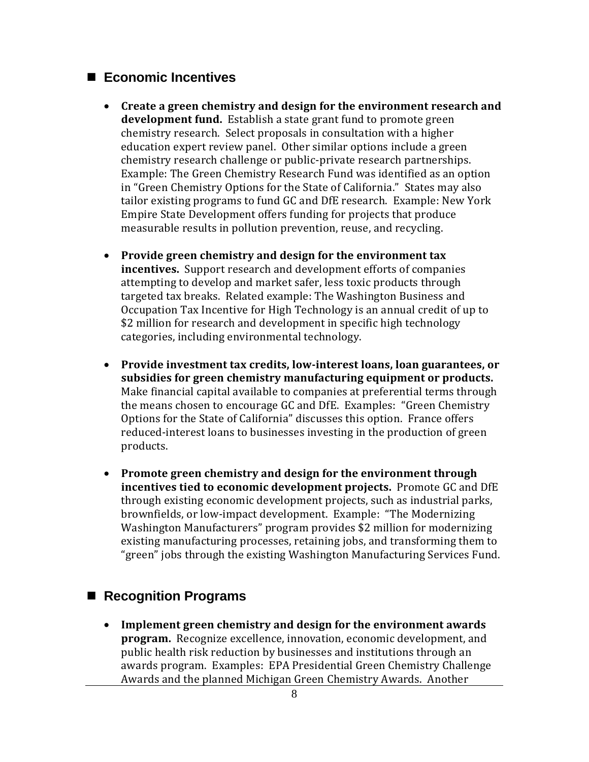#### **Economic Incentives**

- **Create a green chemistry and design for the environment research and development fund.** Establish a state grant fund to promote green chemistry research. Select proposals in consultation with a higher education expert review panel. Other similar options include a green chemistry research challenge or public-private research partnerships. Example: The Green Chemistry Research Fund was identified as an option in "Green Chemistry Options for the State of California." States may also tailor existing programs to fund GC and DfE research. Example: New York Empire State Development offers funding for projects that produce measurable results in pollution prevention, reuse, and recycling.
- **Provide green chemistry and design for the environment tax incentives.** Support research and development efforts of companies attempting to develop and market safer, less toxic products through targeted tax breaks. Related example: The Washington Business and Occupation Tax Incentive for High Technology is an annual credit of up to \$2 million for research and development in specific high technology categories, including environmental technology.
- **Provide investment tax credits, low-interest loans, loan guarantees, or subsidies for green chemistry manufacturing equipment or products.** Make financial capital available to companies at preferential terms through the means chosen to encourage GC and DfE. Examples: "Green Chemistry Options for the State of California" discusses this option. France offers reduced-interest loans to businesses investing in the production of green products.
- **Promote green chemistry and design for the environment through incentives tied to economic development projects.** Promote GC and DfE through existing economic development projects, such as industrial parks, brownfields, or low-impact development. Example: "The Modernizing Washington Manufacturers" program provides \$2 million for modernizing existing manufacturing processes, retaining jobs, and transforming them to "green" jobs through the existing Washington Manufacturing Services Fund.

#### ■ Recognition Programs

• **Implement green chemistry and design for the environment awards program.** Recognize excellence, innovation, economic development, and public health risk reduction by businesses and institutions through an awards program. Examples: EPA Presidential Green Chemistry Challenge Awards and the planned Michigan Green Chemistry Awards. Another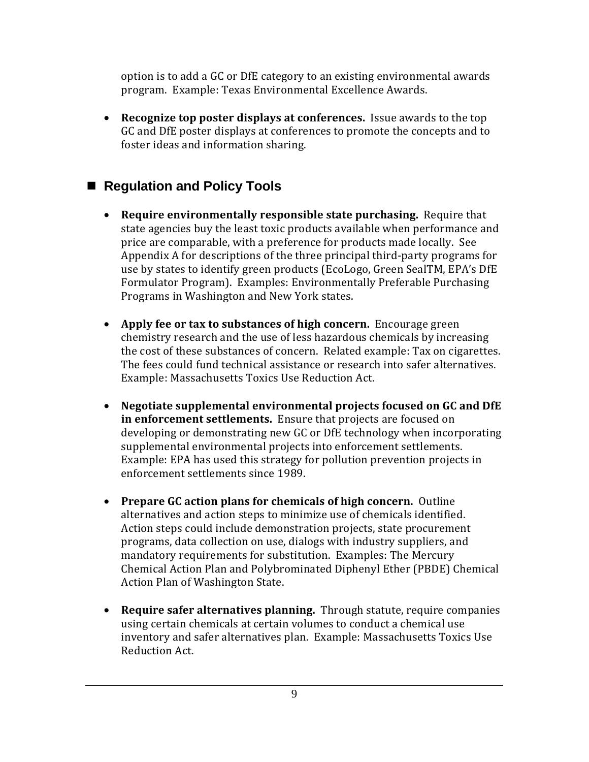option is to add a GC or DfE category to an existing environmental awards program. Example: Texas Environmental Excellence Awards.

• **Recognize top poster displays at conferences.** Issue awards to the top GC and DfE poster displays at conferences to promote the concepts and to foster ideas and information sharing.

#### ■ Regulation and Policy Tools

- **Require environmentally responsible state purchasing.** Require that state agencies buy the least toxic products available when performance and price are comparable, with a preference for products made locally. See Appendix A for descriptions of the three principal third-party programs for use by states to identify green products (EcoLogo, Green SealTM, EPA's DfE Formulator Program). Examples: Environmentally Preferable Purchasing Programs in Washington and New York states.
- **Apply fee or tax to substances of high concern.** Encourage green chemistry research and the use of less hazardous chemicals by increasing the cost of these substances of concern. Related example: Tax on cigarettes. The fees could fund technical assistance or research into safer alternatives. Example: Massachusetts Toxics Use Reduction Act.
- **Negotiate supplemental environmental projects focused on GC and DfE in enforcement settlements.** Ensure that projects are focused on developing or demonstrating new GC or DfE technology when incorporating supplemental environmental projects into enforcement settlements. Example: EPA has used this strategy for pollution prevention projects in enforcement settlements since 1989.
- **Prepare GC action plans for chemicals of high concern.** Outline alternatives and action steps to minimize use of chemicals identified. Action steps could include demonstration projects, state procurement programs, data collection on use, dialogs with industry suppliers, and mandatory requirements for substitution. Examples: The Mercury Chemical Action Plan and Polybrominated Diphenyl Ether (PBDE) Chemical Action Plan of Washington State.
- **Require safer alternatives planning.** Through statute, require companies using certain chemicals at certain volumes to conduct a chemical use inventory and safer alternatives plan. Example: Massachusetts Toxics Use Reduction Act.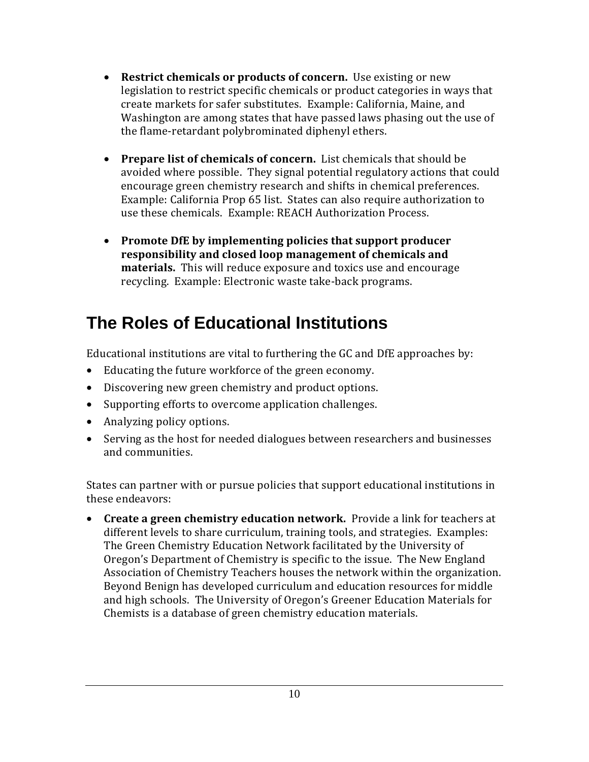- **Restrict chemicals or products of concern.** Use existing or new legislation to restrict specific chemicals or product categories in ways that create markets for safer substitutes. Example: California, Maine, and Washington are among states that have passed laws phasing out the use of the flame-retardant polybrominated diphenyl ethers.
- **Prepare list of chemicals of concern.** List chemicals that should be avoided where possible. They signal potential regulatory actions that could encourage green chemistry research and shifts in chemical preferences. Example: California Prop 65 list. States can also require authorization to use these chemicals. Example: REACH Authorization Process.
- **Promote DfE by implementing policies that support producer responsibility and closed loop management of chemicals and materials.** This will reduce exposure and toxics use and encourage recycling. Example: Electronic waste take-back programs.

## **The Roles of Educational Institutions**

Educational institutions are vital to furthering the GC and DfE approaches by:

- Educating the future workforce of the green economy.
- Discovering new green chemistry and product options.
- Supporting efforts to overcome application challenges.
- Analyzing policy options.
- Serving as the host for needed dialogues between researchers and businesses and communities.

States can partner with or pursue policies that support educational institutions in these endeavors:

• **Create a green chemistry education network.** Provide a link for teachers at different levels to share curriculum, training tools, and strategies. Examples: The Green Chemistry Education Network facilitated by the University of Oregon's Department of Chemistry is specific to the issue. The New England Association of Chemistry Teachers houses the network within the organization. Beyond Benign has developed curriculum and education resources for middle and high schools. The University of Oregon's Greener Education Materials for Chemists is a database of green chemistry education materials.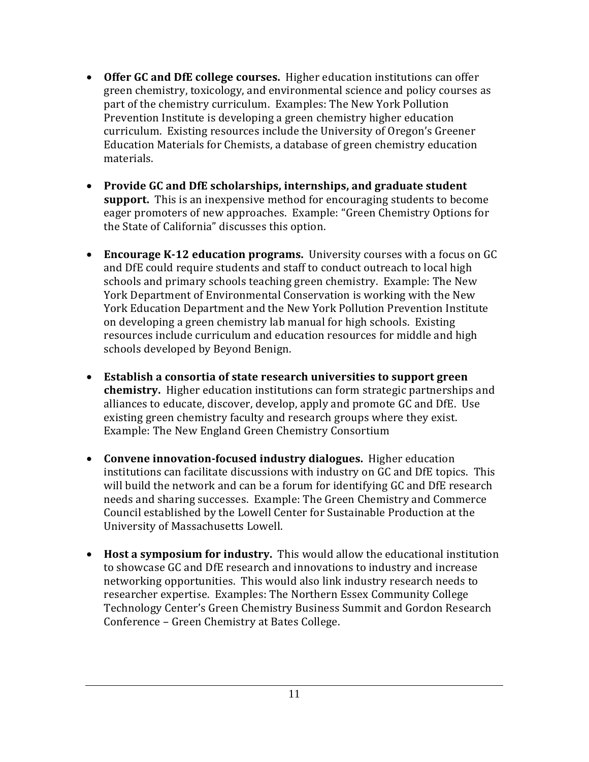- **Offer GC and DfE college courses.** Higher education institutions can offer green chemistry, toxicology, and environmental science and policy courses as part of the chemistry curriculum. Examples: The New York Pollution Prevention Institute is developing a green chemistry higher education curriculum. Existing resources include the University of Oregon's Greener Education Materials for Chemists, a database of green chemistry education materials.
- **Provide GC and DfE scholarships, internships, and graduate student support.** This is an inexpensive method for encouraging students to become eager promoters of new approaches. Example: "Green Chemistry Options for the State of California" discusses this option.
- **Encourage K-12 education programs.** University courses with a focus on GC and DfE could require students and staff to conduct outreach to local high schools and primary schools teaching green chemistry. Example: The New York Department of Environmental Conservation is working with the New York Education Department and the New York Pollution Prevention Institute on developing a green chemistry lab manual for high schools. Existing resources include curriculum and education resources for middle and high schools developed by Beyond Benign.
- **Establish a consortia of state research universities to support green chemistry.** Higher education institutions can form strategic partnerships and alliances to educate, discover, develop, apply and promote GC and DfE. Use existing green chemistry faculty and research groups where they exist. Example: The New England Green Chemistry Consortium
- **Convene innovation-focused industry dialogues.** Higher education institutions can facilitate discussions with industry on GC and DfE topics. This will build the network and can be a forum for identifying GC and DfE research needs and sharing successes. Example: The Green Chemistry and Commerce Council established by the Lowell Center for Sustainable Production at the University of Massachusetts Lowell.
- **Host a symposium for industry.** This would allow the educational institution to showcase GC and DfE research and innovations to industry and increase networking opportunities. This would also link industry research needs to researcher expertise. Examples: The Northern Essex Community College Technology Center's Green Chemistry Business Summit and Gordon Research Conference – Green Chemistry at Bates College.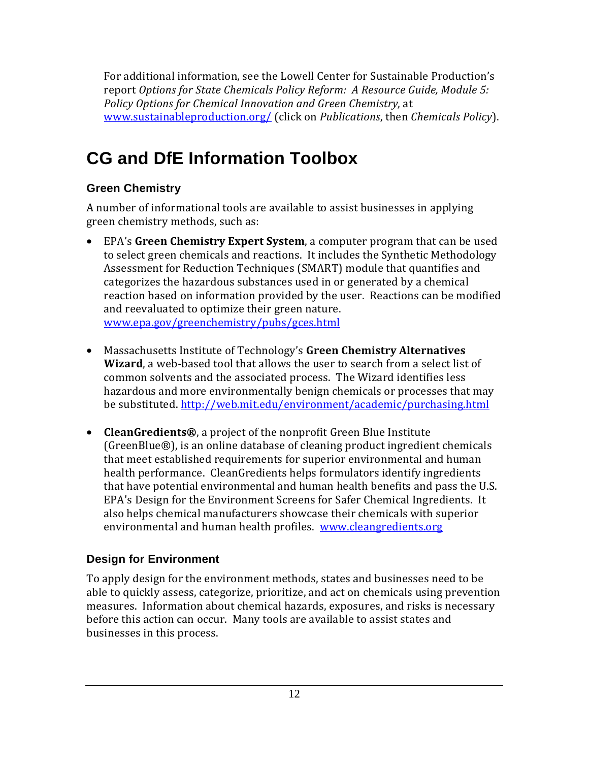For additional information, see the Lowell Center for Sustainable Production's report *Options for State Chemicals Policy Reform: A Resource Guide, Module 5: Policy Options for Chemical Innovation and Green Chemistry*, at [www.sustainableproduction.org/ \(c](http://www.sustainableproduction.org/)lick on *Publications*, then *Chemicals Policy*).

## **CG and DfE Information Toolbox**

#### **Green Chemistry**

A number of informational tools are available to assist businesses in applying green chemistry methods, such as:

- EPA's **Green Chemistry Expert System**, a computer program that can be used to select green chemicals and reactions. It includes the Synthetic Methodology Assessment for Reduction Techniques (SMART) module that quantifies and categorizes the hazardous substances used in or generated by a chemical reaction based on information provided by the user. Reactions can be modified and reevaluated to optimize their green nature. [www.epa.gov/greenchemistry/pubs/gces.html](http://www.epa.gov/greenchemistry/pubs/gces.html)
- Massachusetts Institute of Technology's **Green Chemistry Alternatives Wizard**, a web-based tool that allows the user to search from a select list of common solvents and the associated process. The Wizard identifies less hazardous and more environmentally benign chemicals or processes that may be substituted. <http://web.mit.edu/environment/academic/purchasing.html>
- **CleanGredients®**, a project of the nonprofit Green Blue Institute (GreenBlue®), is an online database of cleaning product ingredient chemicals that meet established requirements for superior environmental and human health performance. CleanGredients helps formulators identify ingredients that have potential environmental and human health benefits and pass the U.S. EPA's Design for the Environment Screens for Safer Chemical Ingredients. It also helps chemical manufacturers showcase their chemicals with superior environmental and human health profiles. [www.cleangredients.org](http://www.cleangredients.org)

#### **Design for Environment**

To apply design for the environment methods, states and businesses need to be able to quickly assess, categorize, prioritize, and act on chemicals using prevention measures. Information about chemical hazards, exposures, and risks is necessary before this action can occur. Many tools are available to assist states and businesses in this process.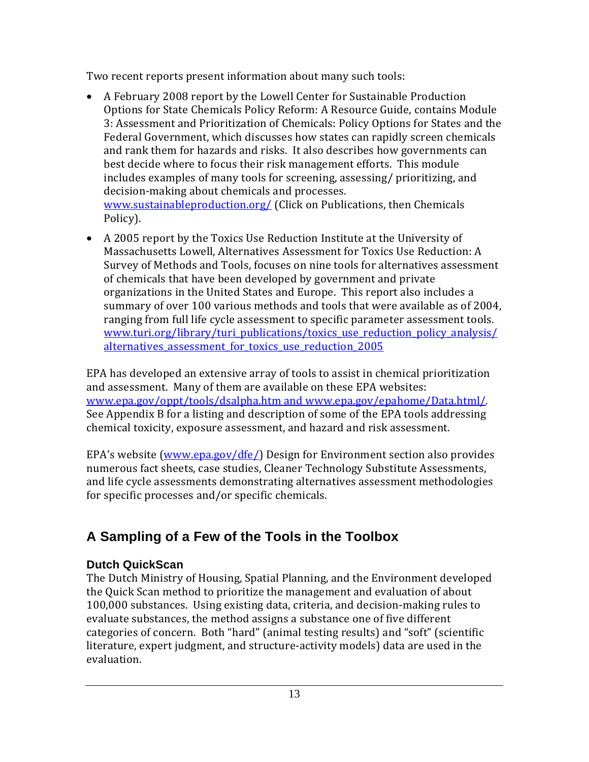Two recent reports present information about many such tools:

- A February 2008 report by the Lowell Center for Sustainable Production Options for State Chemicals Policy Reform: A Resource Guide, contains Module 3: Assessment and Prioritization of Chemicals: Policy Options for States and the Federal Government, which discusses how states can rapidly screen chemicals and rank them for hazards and risks. It also describes how governments can best decide where to focus their risk management efforts. This module includes examples of many tools for screening, assessing/ prioritizing, and decision-making about chemicals and processes. [www.sustainableproduction.org/ \(C](http://www.sustainableproduction.org/)lick on Publications, then Chemicals Policy).
- A 2005 report by the Toxics Use Reduction Institute at the University of Massachusetts Lowell, Alternatives Assessment for Toxics Use Reduction: A Survey of Methods and Tools, focuses on nine tools for alternatives assessment of chemicals that have been developed by government and private organizations in the United States and Europe. This report also includes a summary of over 100 various methods and tools that were available as of 2004, ranging from full life cycle assessment to specific parameter assessment tools. [www.turi.org/library/turi\\_publications/toxics\\_use\\_reduction\\_policy\\_analysis/](http://www.turi.org/library/turi_publications/toxics_use_reduction_policy_analysis/alternatives_assessment_for_toxics_use_reduction_2005) alternatives assessment for toxics use reduction 2005

EPA has developed an extensive array of tools to assist in chemical prioritization and assessment. Many of them are available on these EPA websites: [www.epa.gov/oppt/tools/dsalpha.htm an](http://www.epa.gov/oppt/tools/dsalpha.htm)d [www.epa.gov/epahome/Data.html/.](http://www.epa.gov/epahome/Data.html/)  See Appendix B for a listing and description of some of the EPA tools addressing chemical toxicity, exposure assessment, and hazard and risk assessment.

EPA's website ([www.epa.gov/dfe/\)](http://www.epa.gov/dfe/) Design for Environment section also provides numerous fact sheets, case studies, Cleaner Technology Substitute Assessments, and life cycle assessments demonstrating alternatives assessment methodologies for specific processes and/or specific chemicals.

## **A Sampling of a Few of the Tools in the Toolbox**

#### **Dutch QuickScan**

The Dutch Ministry of Housing, Spatial Planning, and the Environment developed the Quick Scan method to prioritize the management and evaluation of about 100,000 substances. Using existing data, criteria, and decision-making rules to evaluate substances, the method assigns a substance one of five different categories of concern. Both "hard" (animal testing results) and "soft" (scientific literature, expert judgment, and structure-activity models) data are used in the evaluation.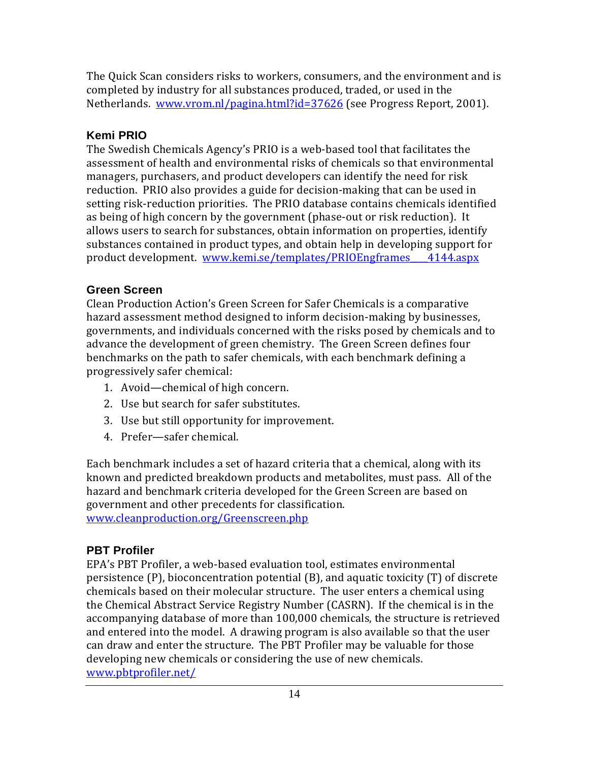The Quick Scan considers risks to workers, consumers, and the environment and is completed by industry for all substances produced, traded, or used in the Netherlands. [www.vrom.nl/pagina.html?id=37626 \(s](http://www.vrom.nl/pagina.html?id=37626)ee Progress Report, 2001).

#### **Kemi PRIO**

The Swedish Chemicals Agency's PRIO is a web-based tool that facilitates the assessment of health and environmental risks of chemicals so that environmental managers, purchasers, and product developers can identify the need for risk reduction. PRIO also provides a guide for decision-making that can be used in setting risk-reduction priorities. The PRIO database contains chemicals identified as being of high concern by the government (phase-out or risk reduction). It allows users to search for substances, obtain information on properties, identify substances contained in product types, and obtain help in developing support for product development. www.kemi.se/templates/PRIOEngframes 4144.aspx

#### **Green Screen**

Clean Production Action's Green Screen for Safer Chemicals is a comparative hazard assessment method designed to inform decision-making by businesses, governments, and individuals concerned with the risks posed by chemicals and to advance the development of green chemistry. The Green Screen defines four benchmarks on the path to safer chemicals, with each benchmark defining a progressively safer chemical:

- 1. Avoid—chemical of high concern.
- 2. Use but search for safer substitutes.
- 3. Use but still opportunity for improvement.
- 4. Prefer—safer chemical.

Each benchmark includes a set of hazard criteria that a chemical, along with its known and predicted breakdown products and metabolites, must pass. All of the hazard and benchmark criteria developed for the Green Screen are based on government and other precedents for classification. [www.cleanproduction.org/Greenscreen.php](http://www.cleanproduction.org/Greenscreen.php)

#### **PBT Profiler**

EPA's PBT Profiler, a web-based evaluation tool, estimates environmental persistence (P), bioconcentration potential (B), and aquatic toxicity (T) of discrete chemicals based on their molecular structure. The user enters a chemical using the Chemical Abstract Service Registry Number (CASRN). If the chemical is in the accompanying database of more than 100,000 chemicals, the structure is retrieved and entered into the model. A drawing program is also available so that the user can draw and enter the structure. The PBT Profiler may be valuable for those developing new chemicals or considering the use of new chemicals. [www.pbtprofiler.net/](http://www.pbtprofiler.net/)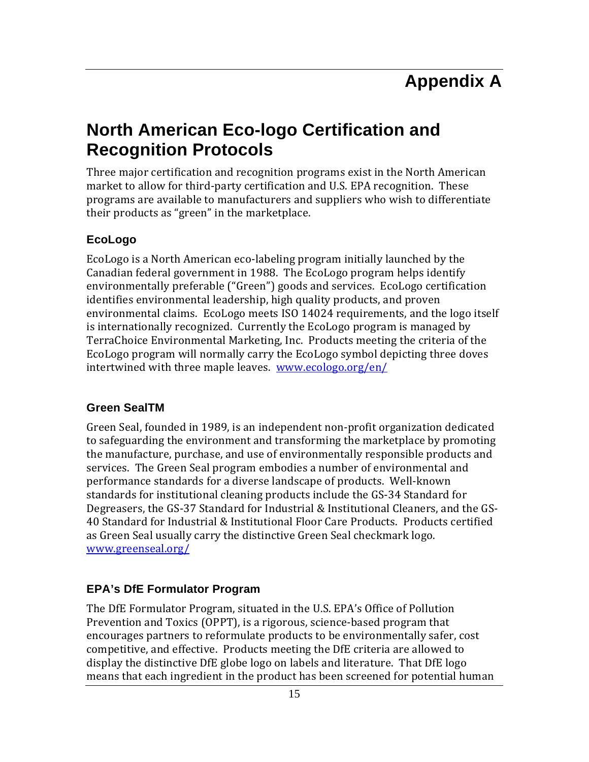## **North American Eco-logo Certification and Recognition Protocols**

Three major certification and recognition programs exist in the North American market to allow for third-party certification and U.S. EPA recognition. These programs are available to manufacturers and suppliers who wish to differentiate their products as "green" in the marketplace.

#### **EcoLogo**

EcoLogo is a North American eco-labeling program initially launched by the Canadian federal government in 1988. The EcoLogo program helps identify environmentally preferable ("Green") goods and services. EcoLogo certification identifies environmental leadership, high quality products, and proven environmental claims. EcoLogo meets ISO 14024 requirements, and the logo itself is internationally recognized. Currently the EcoLogo program is managed by TerraChoice Environmental Marketing, Inc. Products meeting the criteria of the EcoLogo program will normally carry the EcoLogo symbol depicting three doves intertwined with three maple leaves. [www.ecologo.org/en/](http://www.ecologo.org/en/)

#### **Green SealTM**

Green Seal, founded in 1989, is an independent non-profit organization dedicated to safeguarding the environment and transforming the marketplace by promoting the manufacture, purchase, and use of environmentally responsible products and services. The Green Seal program embodies a number of environmental and performance standards for a diverse landscape of products. Well-known standards for institutional cleaning products include the GS-34 Standard for Degreasers, the GS-37 Standard for Industrial & Institutional Cleaners, and the GS-40 Standard for Industrial & Institutional Floor Care Products. Products certified as Green Seal usually carry the distinctive Green Seal checkmark logo. [www.greenseal.org/](http://www.greenseal.org/)

#### **EPA's DfE Formulator Program**

The DfE Formulator Program, situated in the U.S. EPA's Office of Pollution Prevention and Toxics (OPPT), is a rigorous, science-based program that encourages partners to reformulate products to be environmentally safer, cost competitive, and effective. Products meeting the DfE criteria are allowed to display the distinctive DfE globe logo on labels and literature. That DfE logo means that each ingredient in the product has been screened for potential human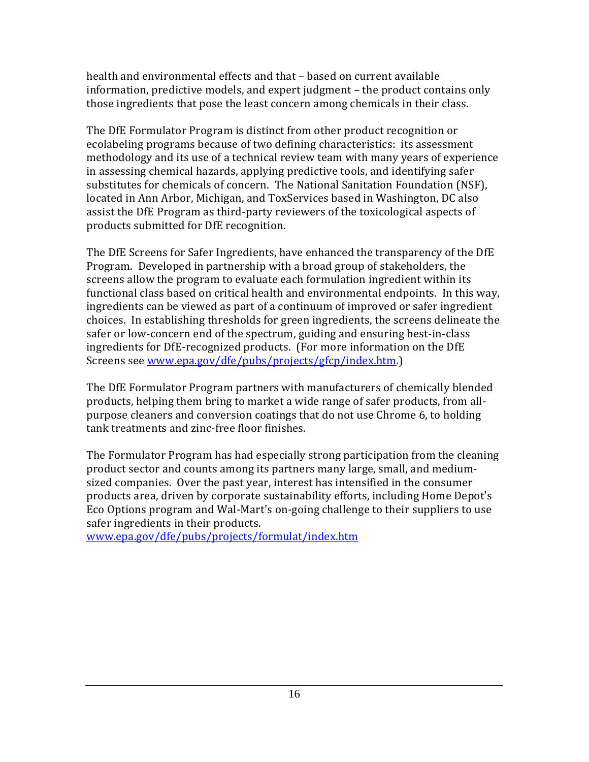health and environmental effects and that – based on current available information, predictive models, and expert judgment – the product contains only those ingredients that pose the least concern among chemicals in their class.

The DfE Formulator Program is distinct from other product recognition or ecolabeling programs because of two defining characteristics: its assessment methodology and its use of a technical review team with many years of experience in assessing chemical hazards, applying predictive tools, and identifying safer substitutes for chemicals of concern. The National Sanitation Foundation (NSF), located in Ann Arbor, Michigan, and ToxServices based in Washington, DC also assist the DfE Program as third-party reviewers of the toxicological aspects of products submitted for DfE recognition.

The DfE Screens for Safer Ingredients, have enhanced the transparency of the DfE Program. Developed in partnership with a broad group of stakeholders, the screens allow the program to evaluate each formulation ingredient within its functional class based on critical health and environmental endpoints. In this way, ingredients can be viewed as part of a continuum of improved or safer ingredient choices. In establishing thresholds for green ingredients, the screens delineate the safer or low-concern end of the spectrum, guiding and ensuring best-in-class ingredients for DfE-recognized products. (For more information on the DfE Screens see [www.epa.gov/dfe/pubs/projects/gfcp/index.htm.\)](http://www.epa.gov/dfe/pubs/projects/gfcp/index.htm) 

The DfE Formulator Program partners with manufacturers of chemically blended products, helping them bring to market a wide range of safer products, from allpurpose cleaners and conversion coatings that do not use Chrome 6, to holding tank treatments and zinc-free floor finishes.

The Formulator Program has had especially strong participation from the cleaning product sector and counts among its partners many large, small, and mediumsized companies. Over the past year, interest has intensified in the consumer products area, driven by corporate sustainability efforts, including Home Depot's Eco Options program and Wal-Mart's on-going challenge to their suppliers to use safer ingredients in their products.

[www.epa.gov/dfe/pubs/projects/formulat/index.htm](http://www.epa.gov/dfe/pubs/projects/formulat/index.htm)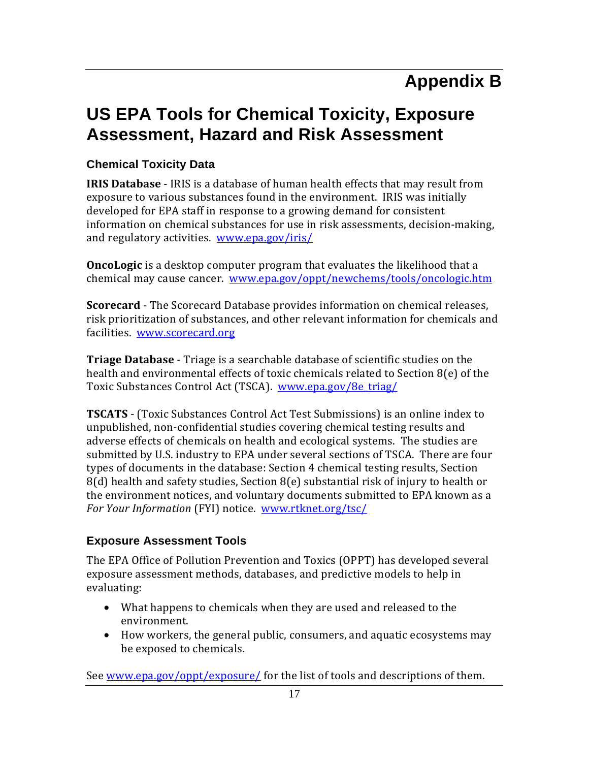## **US EPA Tools for Chemical Toxicity, Exposure Assessment, Hazard and Risk Assessment**

#### **Chemical Toxicity Data**

**IRIS Database** - IRIS is a database of human health effects that may result from exposure to various substances found in the environment. IRIS was initially developed for EPA staff in response to a growing demand for consistent information on chemical substances for use in risk assessments, decision-making, and regulatory activities. [www.epa.gov/iris/](http://www.epa.gov/iris/)

**OncoLogic** is a desktop computer program that evaluates the likelihood that a chemical may cause cancer. [www.epa.gov/oppt/newchems/tools/oncologic.htm](http://www.epa.gov/oppt/newchems/tools/oncologic.htm)

**Scorecard** - The Scorecard Database provides information on chemical releases, risk prioritization of substances, and other relevant information for chemicals and facilities. [www.scorecard.org](http://www.scorecard.org)

**Triage Database** - Triage is a searchable database of scientific studies on the health and environmental effects of toxic chemicals related to Section 8(e) of the Toxic Substances Control Act (TSCA). [www.epa.gov/8e\\_triag/](http://www.epa.gov/8e_triag/)

**TSCATS** - (Toxic Substances Control Act Test Submissions) is an online index to unpublished, non-confidential studies covering chemical testing results and adverse effects of chemicals on health and ecological systems. The studies are submitted by U.S. industry to EPA under several sections of TSCA. There are four types of documents in the database: Section 4 chemical testing results, Section 8(d) health and safety studies, Section 8(e) substantial risk of injury to health or the environment notices, and voluntary documents submitted to EPA known as a *For Your Information* (FYI) notice. [www.rtknet.org/tsc/](http://www.rtknet.org/tsc/)

#### **Exposure Assessment Tools**

The EPA Office of Pollution Prevention and Toxics (OPPT) has developed several exposure assessment methods, databases, and predictive models to help in evaluating:

- What happens to chemicals when they are used and released to the environment.
- How workers, the general public, consumers, and aquatic ecosystems may be exposed to chemicals.

See [www.epa.gov/oppt/exposure/ fo](http://www.epa.gov/oppt/exposure/)r the list of tools and descriptions of them.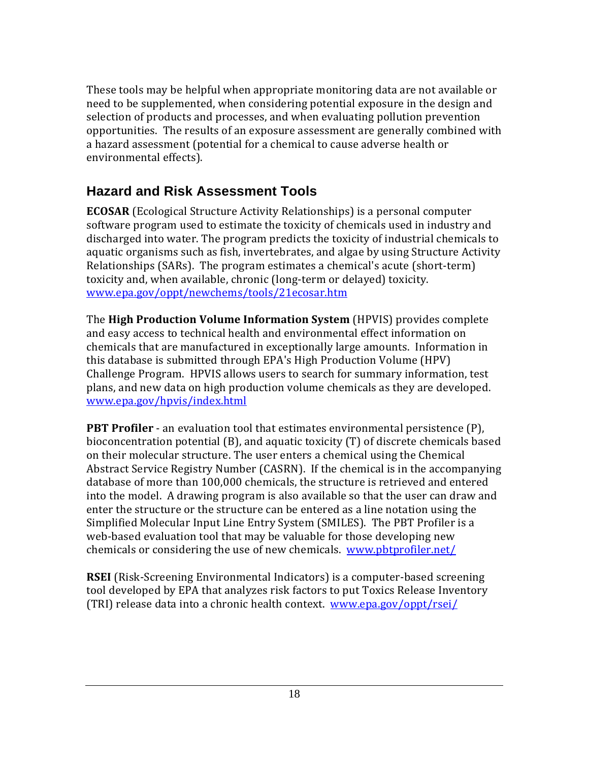These tools may be helpful when appropriate monitoring data are not available or need to be supplemented, when considering potential exposure in the design and selection of products and processes, and when evaluating pollution prevention opportunities. The results of an exposure assessment are generally combined with a hazard assessment (potential for a chemical to cause adverse health or environmental effects).

#### **Hazard and Risk Assessment Tools**

**ECOSAR** (Ecological Structure Activity Relationships) is a personal computer software program used to estimate the toxicity of chemicals used in industry and discharged into water. The program predicts the toxicity of industrial chemicals to aquatic organisms such as fish, invertebrates, and algae by using Structure Activity Relationships (SARs). The program estimates a chemical's acute (short-term) toxicity and, when available, chronic (long-term or delayed) toxicity. [www.epa.gov/oppt/newchems/tools/21ecosar.htm](http://www.epa.gov/oppt/newchems/tools/21ecosar.htm)

The **High Production Volume Information System** (HPVIS) provides complete and easy access to technical health and environmental effect information on chemicals that are manufactured in exceptionally large amounts. Information in this database is submitted through EPA's High Production Volume (HPV) Challenge Program. HPVIS allows users to search for summary information, test plans, and new data on high production volume chemicals as they are developed. [www.epa.gov/hpvis/index.html](http://www.epa.gov/hpvis/index.html)

**PBT Profiler** - an evaluation tool that estimates environmental persistence (P), bioconcentration potential (B), and aquatic toxicity (T) of discrete chemicals based on their molecular structure. The user enters a chemical using the Chemical Abstract Service Registry Number (CASRN). If the chemical is in the accompanying database of more than 100,000 chemicals, the structure is retrieved and entered into the model. A drawing program is also available so that the user can draw and enter the structure or the structure can be entered as a line notation using the Simplified Molecular Input Line Entry System (SMILES). The PBT Profiler is a web-based evaluation tool that may be valuable for those developing new chemicals or considering the use of new chemicals. [www.pbtprofiler.net/](http://www.pbtprofiler.net/)

**RSEI** (Risk-Screening Environmental Indicators) is a computer-based screening tool developed by EPA that analyzes risk factors to put Toxics Release Inventory (TRI) release data into a chronic health context. [www.epa.gov/oppt/rsei/](http://www.epa.gov/oppt/rsei/)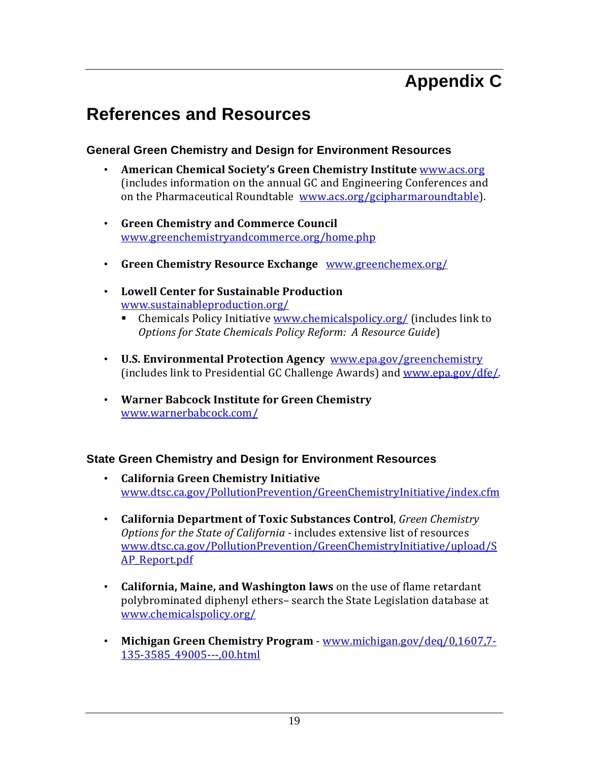## **Appendix C**

## **References and Resources**

#### **General Green Chemistry and Design for Environment Resources**

- **American Chemical Society's Green Chemistry Institute** [www.acs.org](http://www.acs.org)  (includes information on the annual GC and Engineering Conferences and on the Pharmaceutical Roundtable [www.acs.org/gcipharmaroundtable\).](http://www.acs.org/gcipharmaroundtable)
- **Green Chemistry and Commerce Council** [www.greenchemistryandcommerce.org/home.php](http://www.greenchemistryandcommerce.org/home.php)
- **Green Chemistry Resource Exchange** [www.greenchemex.org/](http://www.greenchemex.org/)
- **Lowell Center for Sustainable Production** [www.sustainableproduction.org/](http://www.sustainableproduction.org/)
	- **EXECUTE:** Chemicals Policy Initiative [www.chemicalspolicy.org/ \(in](http://www.chemicalspolicy.org/)cludes link to *Options for State Chemicals Policy Reform: A Resource Guide*)
- **U.S. Environmental Protection Agency** [www.epa.gov/greenchemistry](http://www.epa.gov/greenchemistry) (includes link to Presidential GC Challenge Awards) and [www.epa.gov/dfe/.](http://www.epa.gov/dfe/)
- **Warner Babcock Institute for Green Chemistry** [www.warnerbabcock.com/](http://www.warnerbabcock.com/)

#### **State Green Chemistry and Design for Environment Resources**

- **California Green Chemistry Initiative** [www.dtsc.ca.gov/PollutionPrevention/GreenChemistryInitiative/index.cfm](http://www.dtsc.ca.gov/PollutionPrevention/GreenChemistryInitiative/index.cfm)
- **California Department of Toxic Substances Control**, *Green Chemistry Options for the State of California* - includes extensive list of resources [www.dtsc.ca.gov/PollutionPrevention/GreenChemistryInitiative/upload/S](http://www.dtsc.ca.gov/PollutionPrevention/GreenChemistryInitiative/upload/SAP_Report.pdf) AP\_Report.pdf
- **California, Maine, and Washington laws** on the use of flame retardant polybrominated diphenyl ethers– search the State Legislation database at [www.chemicalspolicy.org/](http://www.chemicalspolicy.org/)
- **Michigan Green Chemistry Program** [www.michigan.gov/deq/0,1607,7-](http://www.michigan.gov/deq/0,1607,7-135-3585_49005---) [135-3585\\_49005---,](http://www.michigan.gov/deq/0,1607,7-135-3585_49005---)00.html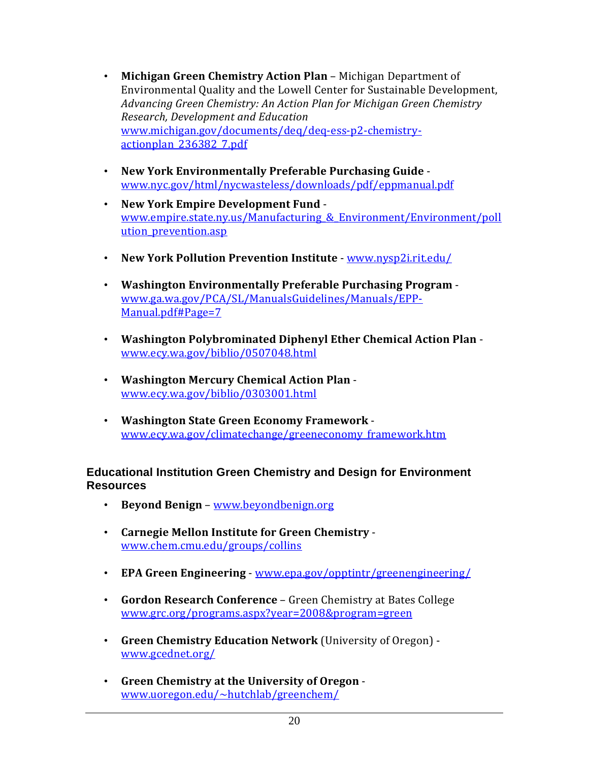- **Michigan Green Chemistry Action Plan** Michigan Department of Environmental Quality and the Lowell Center for Sustainable Development, *Advancing Green Chemistry: An Action Plan for Michigan Green Chemistry Research, Development and Education*  [www.michigan.gov/documents/deq/deq-ess-p2-c](http://www.michigan.gov/documents/deq/deq-ess-p2-chemistry-actionplan_20)[hemistry](http://www.michigan.gov/documents/deq/deq-ess-p2-chemistry-actionplan_236382_7.pdf)actionplan\_236382\_7.pdf
- **New York Environmentally Preferable Purchasing Guide** [www.nyc.gov/html/nycwasteless/downloads/pdf/eppmanual.pdf](http://www.nyc.gov/html/nycwasteless/downloads/pdf/eppmanual.pdf)
- **New York Empire Development Fund** [www.empire.state.ny.us/Manufacturing\\_&\\_Environment/Environment/poll](http://www.empire.state.ny.us/Manufacturing_&_Environment/Environment/pollution_prevention.asp) ution prevention.asp
- **New York Pollution Prevention Institute** [www.nysp2i.rit.edu/](http://www.nysp2i.rit.edu/)
- **Washington Environmentally Preferable Purchasing Program** [www.ga.wa.gov/PCA/SL/ManualsGuidelines/Manuals/EPP-](http://www.ga.wa.gov/PCA/SL/ManualsGuidelines/Manuals/EPP-Manual.pdf#Page=7)Manual[.pdf#Page=7](http://www.ga.wa.gov/PCA/SL/ManualsGuidelines/Manuals/EPP-Manual.pdf#Page=7)
- **Washington Polybrominated Diphenyl Ether Chemical Action Plan** [www.ecy.wa.gov/biblio/0507048.html](http://www.ecy.wa.gov/biblio/0507048.html)
- **Washington Mercury Chemical Action Plan** [www.ecy.wa.gov/biblio/0303001.html](http://www.ecy.wa.gov/biblio/0303001.html)
- **Washington State Green Economy Framework** [www.ecy.wa.gov/climatechange/greeneconomy\\_framework.htm](http://www.ecy.wa.gov/climatechange/greeneconomy_framework.htm)

#### **Educational Institution Green Chemistry and Design for Environment Resources**

- **Beyond Benign** [www.beyondbenign.org](http://www.beyondbenign.org)
- **Carnegie Mellon Institute for Green Chemistry** [www.chem.cmu.edu/groups/collins](http://www.chem.cmu.edu/groups/collins)
- **EPA Green Engineering** - [www.epa.gov/opptintr/greenengineering/](http://www.epa.gov/opptintr/greenengineering/)
- **Gordon Research Conference** Green Chemistry at Bates College [www.grc.org/programs.aspx?year=2008&program=green](http://www.grc.org/programs.aspx?year=2008&program=green)
- **Green Chemistry Education Network** (University of Oregon) [www.gcednet.org/](http://www.gcednet.org/)
- **Green Chemistry at the University of Oregon** [www.uoregon.edu/~hutchlab/greenchem/](http://www.uoregon.edu/~hutchlab/greenchem/)